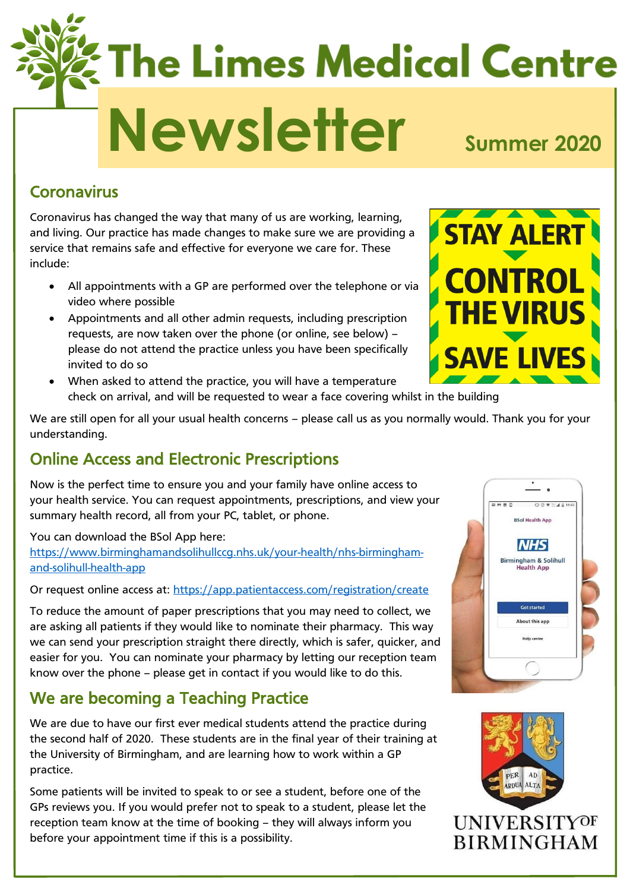# **The Limes Medical Centre** Newsletter<sub>summer</sub> 2020

### Coronavirus

Coronavirus has changed the way that many of us are working, learning, and living. Our practice has made changes to make sure we are providing a service that remains safe and effective for everyone we care for. These include:

- All appointments with a GP are performed over the telephone or via video where possible
- Appointments and all other admin requests, including prescription requests, are now taken over the phone (or online, see below) – please do not attend the practice unless you have been specifically invited to do so
- When asked to attend the practice, you will have a temperature check on arrival, and will be requested to wear a face covering whilst in the building

We are still open for all your usual health concerns – please call us as you normally would. Thank you for your understanding.

# Online Access and Electronic Prescriptions

Now is the perfect time to ensure you and your family have online access to your health service. You can request appointments, prescriptions, and view your summary health record, all from your PC, tablet, or phone.

You can download the BSol App here: [https://www.birminghamandsolihullccg.nhs.uk/your-health/nhs-birmingham](https://www.birminghamandsolihullccg.nhs.uk/your-health/nhs-birmingham-and-solihull-health-app)[and-solihull-health-app](https://www.birminghamandsolihullccg.nhs.uk/your-health/nhs-birmingham-and-solihull-health-app)

Or request online access at:<https://app.patientaccess.com/registration/create>

To reduce the amount of paper prescriptions that you may need to collect, we are asking all patients if they would like to nominate their pharmacy. This way we can send your prescription straight there directly, which is safer, quicker, and easier for you. You can nominate your pharmacy by letting our reception team know over the phone – please get in contact if you would like to do this.

# We are becoming a Teaching Practice

We are due to have our first ever medical students attend the practice during the second half of 2020. These students are in the final year of their training at the University of Birmingham, and are learning how to work within a GP practice.

Some patients will be invited to speak to or see a student, before one of the GPs reviews you. If you would prefer not to speak to a student, please let the reception team know at the time of booking – they will always inform you before your appointment time if this is a possibility.